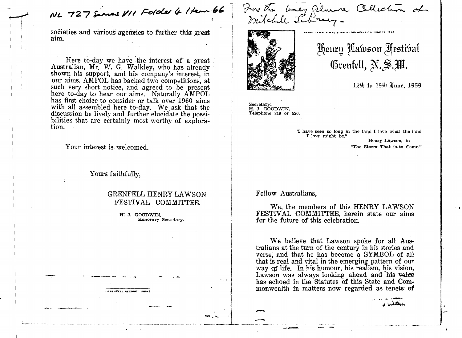NL 727 Serves VII Folder 4 1 tem 66

societies and various agencies to further this great aim.

Here to-day we have the interest of a great Australian, Mr. W. G. Walkley, who has already shown his support, and his company's interest, in our aims. AMPOL has backed two competitions, at such very short notice, and agreed to be present here to-day **to** hear our aims. Naturally AMPOL has first choice to consider or talk over 1960 aims with all assembled here to-day. We ask that the discussion be lively and further elucidate the possibilities that are certainly most worthy of explora-<br>tion.

Your interest is welcomed.

Yours faithfully.

GRENFELL RECORD" PRINT

## GRENFELL HENRY LAWSON FESTIVAL COMMITTEE.

**H. J.** GOOrnIN, **Honorary Secretary.** 

For the buy gilmon Collection of



Henry Lawson Festibal Grenfell, N.S.W.

**BORN AT GRENFELL ON JUNE 17, 1867** 

12th to 15th Hune, 1959

**Secretary: H. J. GOODWIN. Telephone 319 or 520.** 

> **"I have seen so long in the land I love what the land I love might be." -Henry Lawson, in "The Storm That is- to Come."**

## Fellow Australians,

We, the members of this HENRY LAWSON FESTIVAL COMMITTEE, herein state our aims for the future of this celebration.

We believe that Lawson spoke for all Australians at the turn of the century in his stories and verse, and that he has become a SYMBOL of all that is real and vital in the emerging pattern of our way af life, In his humour, his realism, his vision, Lawson was always looking ahead and his vaice has echoed in the Statutes of this State and Commonwealth in matters now regarded as tenets **of**